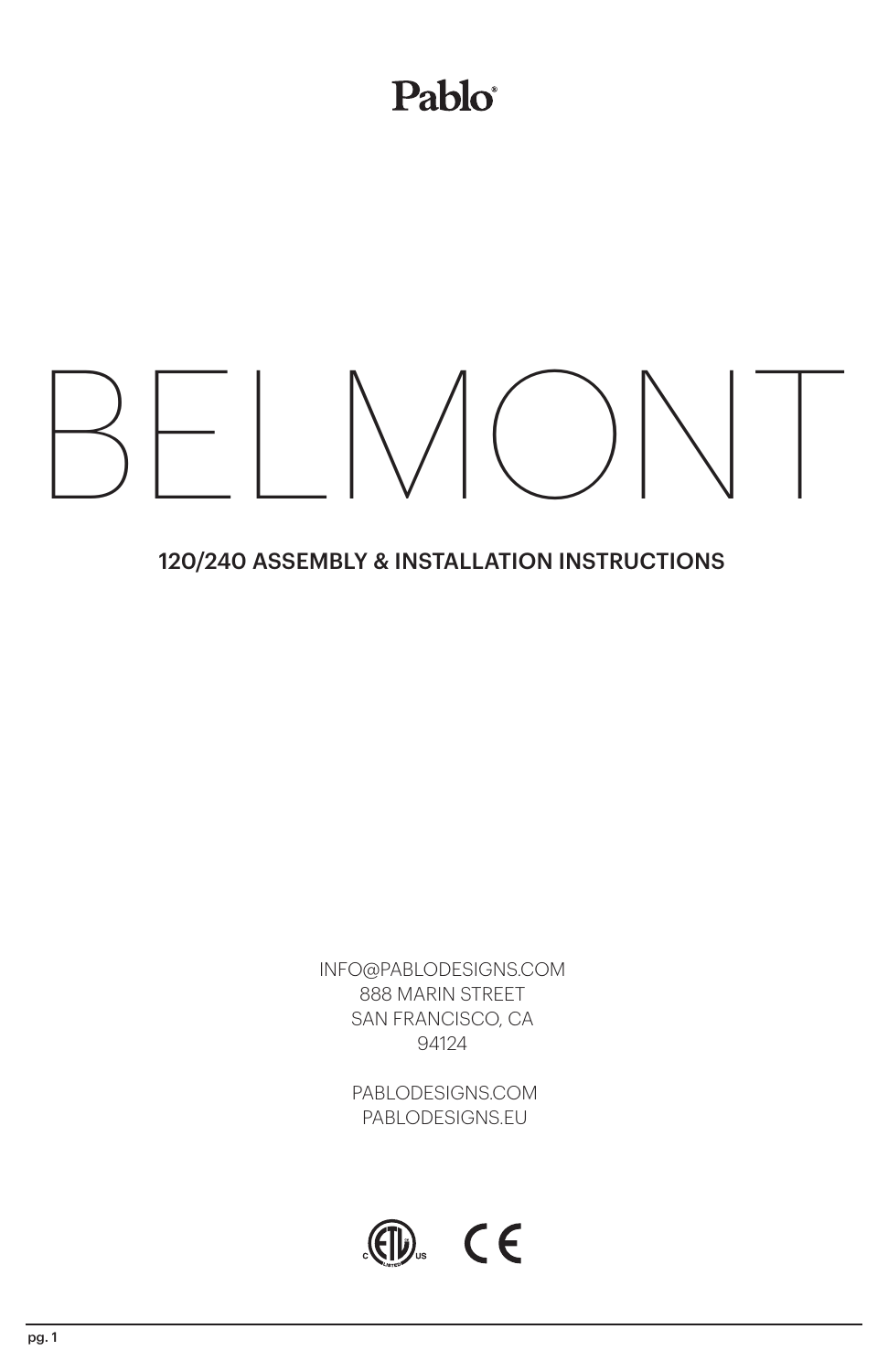## Pablo®

# BELMONT

#### 120/240 ASSEMBLY & INSTALLATION INSTRUCTIONS

INFO@PABLODESIGNS.COM 888 MARIN STREET SAN FRANCISCO, CA 94124

> PABLODESIGNS.COM PABLODESIGNS.EU

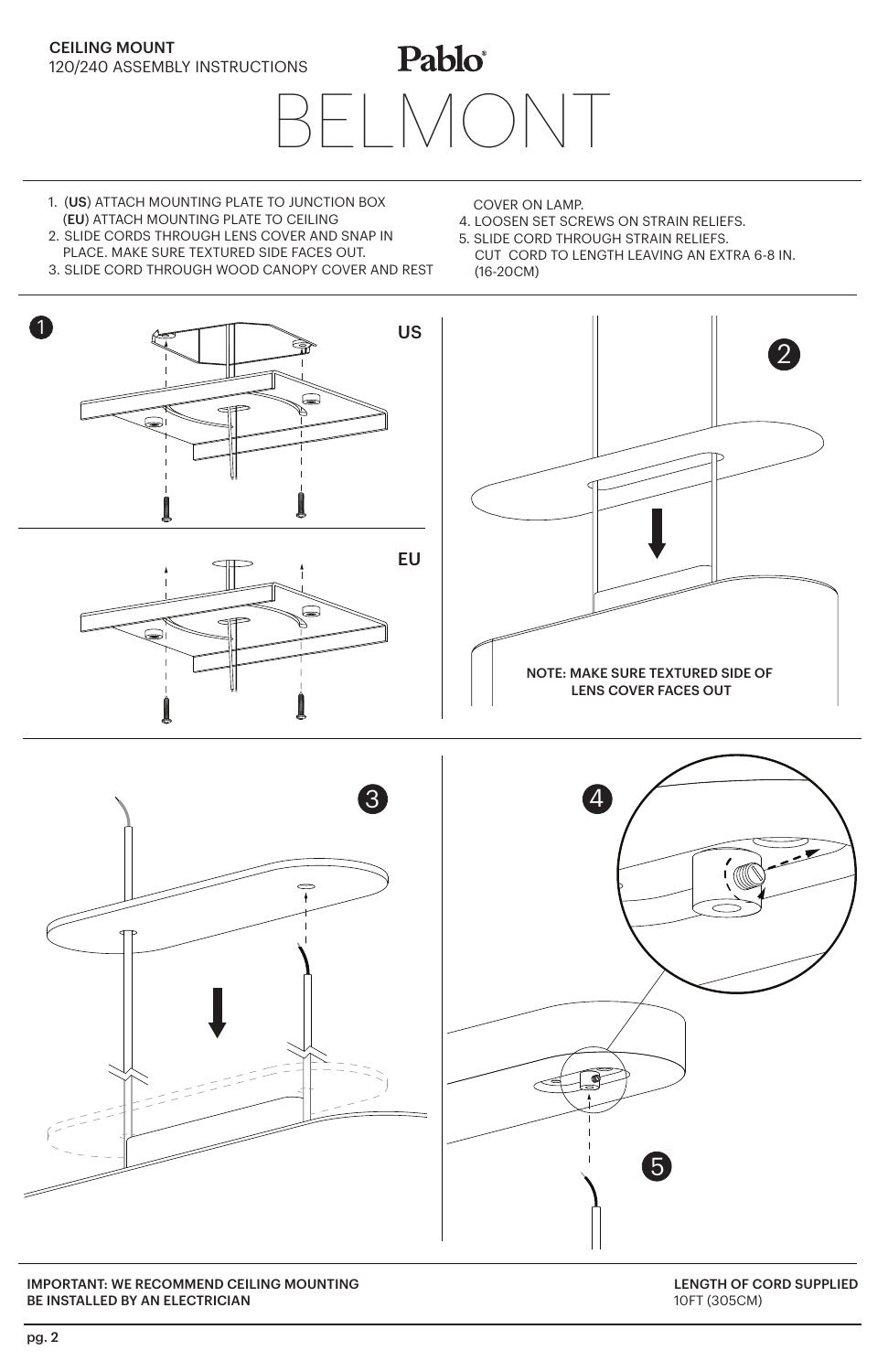### Pablo® 120/240 ASSEMBLY INSTRUCTIONS BELMONT

1. (US) ATTACH MOUNTING PLATE TO JUNCTION BOX (EU) ATTACH MOUNTING PLATE TO CEILING

CEILING MOUNT

- 2. SLIDE CORDS THROUGH LENS COVER AND SNAP IN PLACE. MAKE SURE TEXTURED SIDE FACES OUT.
- 3. SLIDE CORD THROUGH WOOD CANOPY COVER AND REST
- COVER ON LAMP.
- 4. LOOSEN SET SCREWS ON STRAIN RELIEFS.
- 5. SLIDE CORD THROUGH STRAIN RELIEFS. CUT CORD TO LENGTH LEAVING AN EXTRA 6-8 IN. (16-20CM)







IMPORTANT: WE RECOMMEND CEILING MOUNTING BE INSTALLED BY AN ELECTRICIAN

LENGTH OF CORD SUPPLIED 10FT (305CM)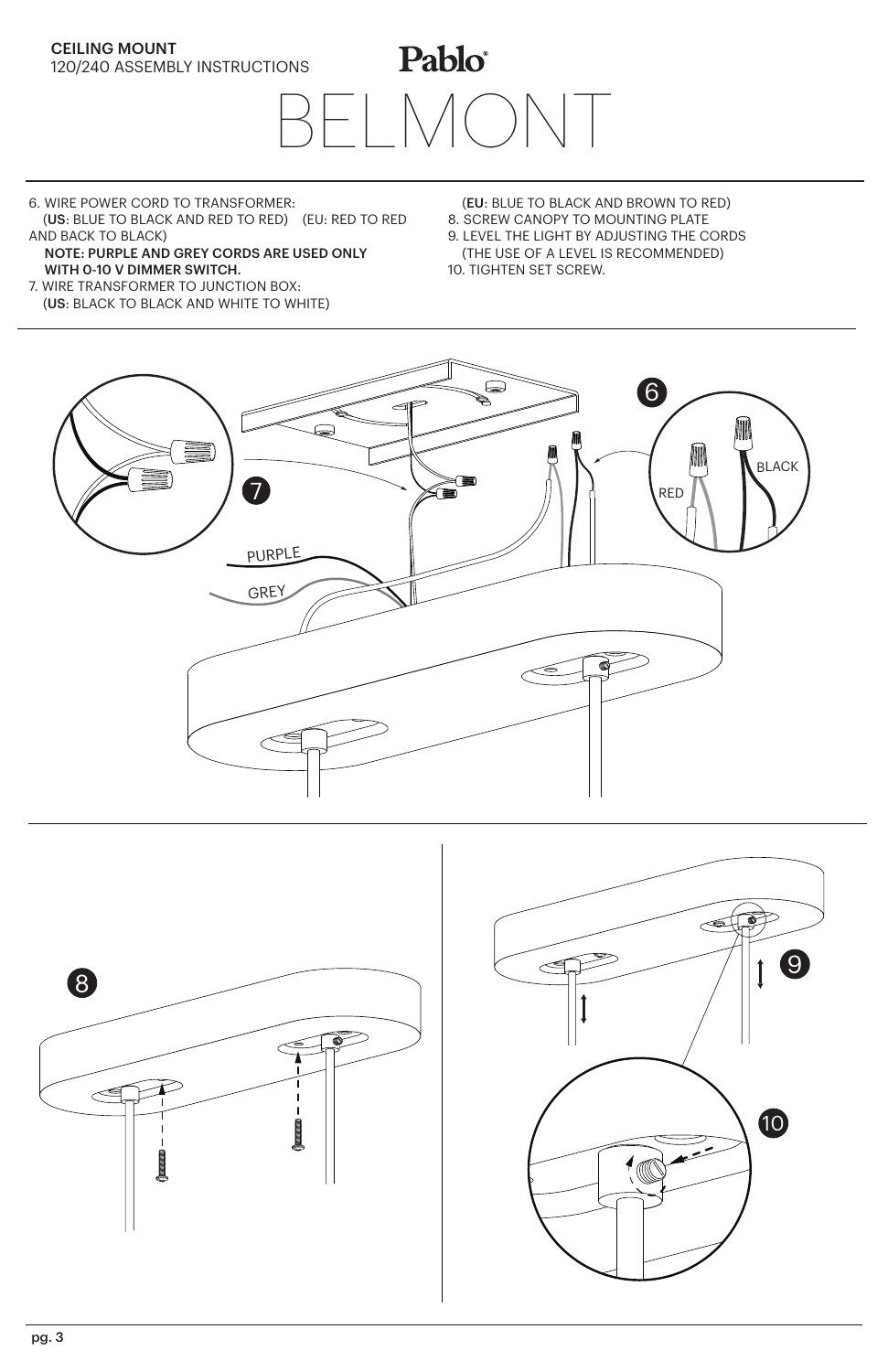

Pablo® BELMONT

- 6. WIRE POWER CORD TO TRANSFORMER: (US: BLUE TO BLACK AND RED TO RED) (EU: RED TO RED
- AND BACK TO BLACK) NOTE: PURPLE AND GREY CORDS ARE USED ONLY WITH 0-10 V DIMMER SWITCH.
- 7. WIRE TRANSFORMER TO JUNCTION BOX: (US: BLACK TO BLACK AND WHITE TO WHITE)
- (EU: BLUE TO BLACK AND BROWN TO RED) 8. SCREW CANOPY TO MOUNTING PLATE 9. LEVEL THE LIGHT BY ADJUSTING THE CORDS (THE USE OF A LEVEL IS RECOMMENDED)

10. TIGHTEN SET SCREW.